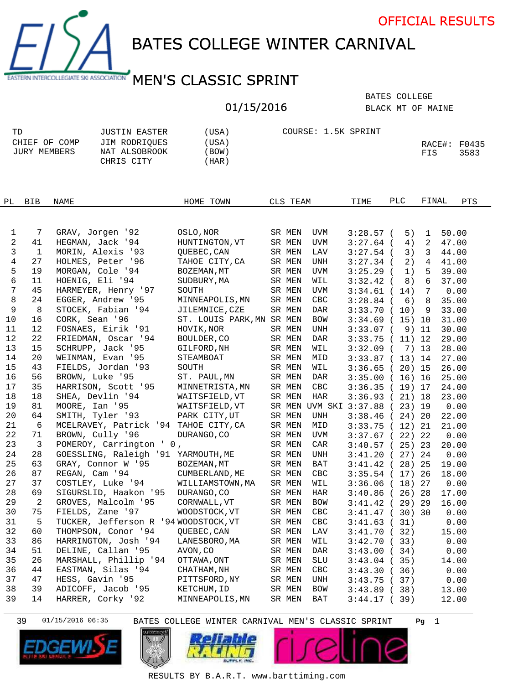

BATES COLLEGE WINTER CARNIVAL

## EASTERN INTERCOLLEGIATE SKI ASSOCIATION MEN'S CLASSIC SPRINT

## 01/15/2016

BLACK MT OF MAINE BATES COLLEGE

| TD            | JUSTIN EASTER | (USA) | COURSE: 1.5K SPRINT |                   |      |
|---------------|---------------|-------|---------------------|-------------------|------|
| CHIEF OF COMP | JIM RODRIOUES | (USA) |                     | $RACE$ #: $F0435$ |      |
| JURY MEMBERS  | NAT ALSOBROOK | BOW)  |                     | FIS               | 3583 |
|               | CHRIS CITY    | HAR)  |                     |                   |      |

| PL.            | <b>BIB</b>     | NAME                                  | HOME TOWN                 | CLS TEAM |                                | TIME              | PLC | FINAL           |       | PTS |
|----------------|----------------|---------------------------------------|---------------------------|----------|--------------------------------|-------------------|-----|-----------------|-------|-----|
|                |                |                                       |                           |          |                                |                   |     |                 |       |     |
|                |                |                                       |                           |          |                                |                   |     |                 |       |     |
| 1              | 7              | GRAV, Jorgen '92                      | OSLO, NOR                 | SR MEN   | UVM                            | $3:28.57$ (       | 5)  | $\mathbf 1$     | 50.00 |     |
| $\overline{a}$ | 41             | HEGMAN, Jack '94                      | HUNTINGTON, VT            | SR MEN   | UVM                            | $3:27.64$ (       | 4)  | 2               | 47.00 |     |
| 3              | $\mathbf{1}$   | MORIN, Alexis '93                     | OUEBEC, CAN               | SR MEN   | LAV                            | $3:27.54$ (       | 3)  | 3               | 44.00 |     |
| 4              | 27             | HOLMES, Peter '96                     | TAHOE CITY, CA            | SR MEN   | <b>UNH</b>                     | $3:27.34$ (       | 2)  | 4               | 41.00 |     |
| 5              | 19             | MORGAN, Cole '94                      | BOZEMAN, MT               | SR MEN   | UVM                            | $3:25.29$ (       | 1)  | 5               | 39.00 |     |
| 6              | 11             | HOENIG, Eli '94                       | SUDBURY, MA               | SR MEN   | WIL                            | $3:32.42$ (       | 8)  | 6               | 37.00 |     |
| 7              | 45             | HARMEYER, Henry '97                   | SOUTH                     | SR MEN   | UVM                            | $3:34.61$ (       | 14) | $7\phantom{.0}$ | 0.00  |     |
| 8              | 24             | EGGER, Andrew '95                     | MINNEAPOLIS, MN           | SR MEN   | CBC                            | $3:28.84$ (       | 6)  | 8               | 35.00 |     |
| 9              | 8              | STOCEK, Fabian '94                    | JILEMNICE, CZE            | SR MEN   | DAR                            | $3:33.70$ (       | 10) | 9               | 33.00 |     |
| 10             | 16             | CORK, Sean '96                        | ST. LOUIS PARK, MN SR MEN |          | <b>BOW</b>                     | 3:34.69(15)10     |     |                 | 31.00 |     |
| 11             | 12             | FOSNAES, Eirik '91                    | HOVIK, NOR                | SR MEN   | UNH                            | $3:33.07$ (       |     | 9) 11           | 30.00 |     |
| 12             | 22             | FRIEDMAN, Oscar '94                   | BOULDER, CO               | SR MEN   | DAR                            | $3:33.75$ (       |     | 11) 12          | 29.00 |     |
| 13             | 15             | SCHRUPP, Jack '95                     | GILFORD, NH               | SR MEN   | WIL                            | $3:32.09$ (       |     | 7) 13           | 28.00 |     |
| 14             | 20             | WEINMAN, Evan '95                     | STEAMBOAT                 | SR MEN   | MID                            | 3:33.87(13)14     |     |                 | 27.00 |     |
| 15             | 43             | FIELDS, Jordan '93                    | SOUTH                     | SR MEN   | WIL                            | $3:36.65$ (       |     | 20) 15          | 26.00 |     |
| 16             | 56             | BROWN, Luke '95                       | ST. PAUL, MN              | SR MEN   | <b>DAR</b>                     | 3:35.00(16)16     |     |                 | 25.00 |     |
| 17             | 35             | HARRISON, Scott '95                   | MINNETRISTA, MN           | SR MEN   | CBC                            | 3:36.35(19)17     |     |                 | 24.00 |     |
| 18             | 18             | SHEA, Devlin '94                      | WAITSFIELD, VT            | SR MEN   | HAR                            | 3:36.93(21)18     |     |                 | 23.00 |     |
| 19             | 81             | MOORE, Ian '95                        | WAITSFIELD, VT            |          | SR MEN UVM SKI 3:37.88 (23) 19 |                   |     |                 | 0.00  |     |
| 20             | 64             | SMITH, Tyler '93                      | PARK CITY, UT             | SR MEN   | <b>UNH</b>                     | $3:38.46$ (       |     | 24) 20          | 22.00 |     |
| 21             | 6              | MCELRAVEY, Patrick '94 TAHOE CITY, CA |                           | SR MEN   | MID                            | 3:33.75(12)21     |     |                 | 21.00 |     |
| 22             | 71             | BROWN, Cully '96                      | DURANGO, CO               | SR MEN   | UVM                            | 3:37.67(22)22     |     |                 | 0.00  |     |
| 23             | $\mathbf{3}$   | POMEROY, Carrington ' 0,              |                           | SR MEN   | CAR                            | $3:40.57(25)$ 23  |     |                 | 20.00 |     |
| 24             | 28             | GOESSLING, Raleigh '91 YARMOUTH, ME   |                           | SR MEN   | UNH                            | 3:41.20(27)24     |     |                 | 0.00  |     |
| 25             | 63             | GRAY, Connor W '95                    | BOZEMAN, MT               | SR MEN   | BAT                            | $3:41.42$ (       |     | 28) 25          | 19.00 |     |
| 26             | 87             | REGAN, Cam '94                        | CUMBERLAND, ME            | SR MEN   | CBC                            | 3:35.54(17)       |     | 26              | 18.00 |     |
| 27             | 37             | COSTLEY, Luke '94                     | WILLIAMSTOWN, MA          | SR MEN   | WIL                            | 3:36.06(18)27     |     |                 | 0.00  |     |
| 28             | 69             | SIGURSLID, Haakon '95                 | DURANGO, CO               | SR MEN   | <b>HAR</b>                     | $3:40.86$ (26) 28 |     |                 | 17.00 |     |
| 29             | $\overline{a}$ | GROVES, Malcolm '95                   | CORNWALL, VT              | SR MEN   | <b>BOW</b>                     | 3:41.42(29)29     |     |                 | 16.00 |     |
| 30             | 75             | FIELDS, Zane '97                      | WOODSTOCK, VT             | SR MEN   | CBC                            | 3:41.47(30)30     |     |                 | 0.00  |     |
| 31             | 5              | TUCKER, Jefferson R '94 WOODSTOCK, VT |                           | SR MEN   | <b>CBC</b>                     | 3:41.63(31)       |     |                 | 0.00  |     |
| 32             | 60             | THOMPSON, Conor '94                   | QUEBEC, CAN               | SR MEN   | LAV                            | 3:41.70(32)       |     |                 | 15.00 |     |
| 33             | 86             | HARRINGTON, Josh '94                  | LANESBORO, MA             | SR MEN   | WIL                            | 3:42.70(33)       |     |                 | 0.00  |     |
| 34             | 51             | DELINE, Callan '95                    | AVON, CO                  | SR MEN   | DAR                            | 3:43.00(34)       |     |                 | 0.00  |     |
| 35             | 26             | MARSHALL, Phillip '94                 | OTTAWA, ONT               | SR MEN   | SLU                            | 3:43.04(35)       |     |                 | 14.00 |     |
| 36             | 44             | EASTMAN, Silas '94                    | CHATHAM, NH               | SR MEN   | <b>CBC</b>                     | 3:43.30(36)       |     |                 | 0.00  |     |
| 37             | 47             | HESS, Gavin '95                       | PITTSFORD, NY             | SR MEN   | UNH                            | 3:43.75(37)       |     |                 | 0.00  |     |
| 38             | 39             | ADICOFF, Jacob '95                    | KETCHUM, ID               | SR MEN   | BOW                            | 3:43.89(38)       |     |                 | 13.00 |     |
| 39             | 14             | HARRER, Corky '92                     | MINNEAPOLIS, MN           | SR MEN   | <b>BAT</b>                     | 3:44.17(39)       |     |                 | 12.00 |     |

39 1 01/15/2016 06:35 BATES COLLEGE WINTER CARNIVAL MEN'S CLASSIC SPRINT **Pg**









RESULTS BY B.A.R.T. www.barttiming.com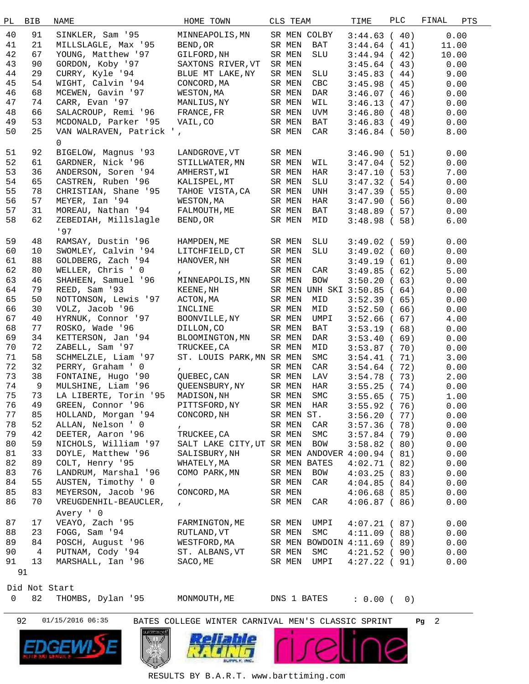| РL | <b>BIB</b>    | <b>NAME</b>              | HOME TOWN                 | CLS TEAM |                                 | TIME            | <b>PLC</b> | FINAL | PTS   |  |
|----|---------------|--------------------------|---------------------------|----------|---------------------------------|-----------------|------------|-------|-------|--|
| 40 | 91            | SINKLER, Sam '95         | MINNEAPOLIS, MN           |          | SR MEN COLBY                    | 3:44.63(40)     |            |       | 0.00  |  |
| 41 | 21            | MILLSLAGLE, Max '95      | BEND, OR                  | SR MEN   | BAT                             | 3:44.64(41)     |            |       | 11.00 |  |
|    | 67            |                          |                           |          |                                 |                 |            |       |       |  |
| 42 |               | YOUNG, Matthew '97       | GILFORD, NH               | SR MEN   | SLU                             | 3:44.94(42)     |            |       | 10.00 |  |
| 43 | 90            | GORDON, Koby '97         | SAXTONS RIVER, VT         | SR MEN   |                                 | 3:45.64(43)     |            |       | 0.00  |  |
| 44 | 29            | CURRY, Kyle '94          | BLUE MT LAKE, NY          | SR MEN   | SLU                             | 3:45.83(44)     |            |       | 9.00  |  |
| 45 | 54            | WIGHT, Calvin '94        | CONCORD, MA               | SR MEN   | CBC                             | 3:45.98(45)     |            |       | 0.00  |  |
| 46 | 68            | MCEWEN, Gavin '97        | WESTON, MA                | SR MEN   | DAR                             | 3:46.07(46)     |            |       | 0.00  |  |
| 47 | 74            | CARR, Evan '97           | MANLIUS,NY                | SR MEN   | WIL                             | 3:46.13(47)     |            |       | 0.00  |  |
| 48 | 66            | SALACROUP, Remi '96      | FRANCE, FR                | SR MEN   | UVM                             | 3:46.80(48)     |            |       | 0.00  |  |
| 49 | 53            | MCDONALD, Parker '95     | VAIL, CO                  | SR MEN   | BAT                             | 3:46.83(49)     |            |       | 0.00  |  |
| 50 | 25            | VAN WALRAVEN, Patrick ', |                           | SR MEN   | CAR                             | 3:46.84(50)     |            |       | 8.00  |  |
|    |               | 0                        |                           |          |                                 |                 |            |       |       |  |
| 51 | 92            | BIGELOW, Magnus '93      | LANDGROVE, VT             | SR MEN   |                                 |                 |            |       |       |  |
|    |               |                          |                           |          |                                 | 3:46.90(51)     |            |       | 0.00  |  |
| 52 | 61            | GARDNER, Nick '96        | STILLWATER, MN            | SR MEN   | WIL                             | 3:47.04(52)     |            |       | 0.00  |  |
| 53 | 36            | ANDERSON, Soren '94      | AMHERST, WI               | SR MEN   | HAR                             | 3:47.10(53)     |            |       | 7.00  |  |
| 54 | 65            | CASTREN, Ruben '96       | KALISPEL, MT              | SR MEN   | SLU                             | 3:47.32(54)     |            |       | 0.00  |  |
| 55 | 78            | CHRISTIAN, Shane '95     | TAHOE VISTA, CA           | SR MEN   | UNH                             | 3:47.39(55)     |            |       | 0.00  |  |
| 56 | 57            | MEYER, Ian '94           | WESTON, MA                | SR MEN   | HAR                             | 3:47.90(56)     |            |       | 0.00  |  |
| 57 | 31            | MOREAU, Nathan '94       | FALMOUTH, ME              | SR MEN   | BAT                             | 3:48.89(57)     |            |       | 0.00  |  |
| 58 | 62            | ZEBEDIAH, Millslagle     | BEND, OR                  | SR MEN   | MID                             | 3:48.98(58)     |            |       | 6.00  |  |
|    |               | 197                      |                           |          |                                 |                 |            |       |       |  |
| 59 | 48            | RAMSAY, Dustin '96       | HAMPDEN, ME               | SR MEN   | SLU                             | 3:49.02(59)     |            |       | 0.00  |  |
| 60 | 10            | SWOMLEY, Calvin '94      | LITCHFIELD, CT            | SR MEN   | SLU                             | 3:49.02(60)     |            |       | 0.00  |  |
| 61 | 88            | GOLDBERG, Zach '94       | HANOVER, NH               | SR MEN   |                                 |                 |            |       |       |  |
|    |               |                          |                           |          |                                 | 3:49.19(61)     |            |       | 0.00  |  |
| 62 | 80            | WELLER, Chris ' 0        | $\mathbf{r}$              | SR MEN   | CAR                             | 3:49.85(62)     |            |       | 5.00  |  |
| 63 | 46            | SHAHEEN, Samuel '96      | MINNEAPOLIS, MN           | SR MEN   | BOW                             | 3:50.20(63)     |            |       | 0.00  |  |
| 64 | 79            | REED, Sam '93            | KEENE, NH                 |          | SR MEN UNH SKI 3:50.85 ( 64)    |                 |            |       | 0.00  |  |
| 65 | 50            | NOTTONSON, Lewis '97     | ACTON, MA                 | SR MEN   | MID                             | 3:52.39(65)     |            |       | 0.00  |  |
| 66 | 30            | VOLZ, Jacob '96          | INCLINE                   | SR MEN   | MID                             | 3:52.50(66)     |            |       | 0.00  |  |
| 67 | 40            | HYRNUK, Connor '97       | BOONVILLE, NY             | SR MEN   | UMPI                            | 3:52.66(67)     |            |       | 4.00  |  |
| 68 | 77            | ROSKO, Wade '96          | DILLON, CO                | SR MEN   | BAT                             | 3:53.19(68)     |            |       | 0.00  |  |
| 69 | 34            | KETTERSON, Jan '94       | BLOOMINGTON, MN           | SR MEN   | DAR                             | 3:53.40(69)     |            |       | 0.00  |  |
| 70 | 72            | ZABELL, Sam '97          | TRUCKEE, CA               | SR MEN   | MID                             | 3:53.87(70)     |            |       | 0.00  |  |
| 71 | 58            | SCHMELZLE, Liam '97      | ST. LOUIS PARK, MN SR MEN |          | SMC                             | 3:54.41(71)     |            |       | 3.00  |  |
| 72 | 32            | PERRY, Graham ' 0        | $\mathbf{r}$              | SR MEN   | CAR                             | 3:54.64(72)     |            |       | 0.00  |  |
| 73 | 38            | FONTAINE, Hugo '90       | QUEBEC, CAN               | SR MEN   | LAV                             | 3:54.78(73)     |            |       | 2.00  |  |
| 74 | 9             | MULSHINE, Liam '96       | QUEENSBURY, NY            | SR MEN   | HAR                             | 3:55.25(74)     |            |       | 0.00  |  |
| 75 | 73            | LA LIBERTE, Torin '95    | MADISON, NH               | SR MEN   | SMC                             | $3:55.65$ ( 75) |            |       | 1.00  |  |
| 76 |               | GREEN, Connor '96        |                           |          |                                 |                 |            |       |       |  |
|    | 49            |                          | PITTSFORD, NY             |          | ${\rm SR}$ ${\rm MEN}$ $\;$ HAR | 3:55.92(76)     |            |       | 0.00  |  |
| 77 | 85            | HOLLAND, Morgan '94      | CONCORD, NH               |          | SR MEN ST.                      | 3:56.20(77)     |            |       | 0.00  |  |
| 78 | 52            | ALLAN, Nelson ' 0        | $\mathbf{r}$              | SR MEN   | CAR                             | 3:57.36(78)     |            |       | 0.00  |  |
| 79 | 42            | DEETER, Aaron '96        | TRUCKEE, CA               | SR MEN   | SMC                             | $3:57.84$ ( 79) |            |       | 0.00  |  |
| 80 | 59            | NICHOLS, William '97     | SALT LAKE CITY, UT SR MEN |          | BOW                             | 3:58.82(80)     |            |       | 0.00  |  |
| 81 | 33            | DOYLE, Matthew '96       | SALISBURY, NH             |          | SR MEN ANDOVER 4:00.94 (81)     |                 |            |       | 0.00  |  |
| 82 | 89            | COLT, Henry '95          | WHATELY, MA               |          | SR MEN BATES                    | 4:02.71(82)     |            |       | 0.00  |  |
| 83 | 76            | LANDRUM, Marshal '96     | COMO PARK, MN             | SR MEN   | BOW                             | 4:03.25(83)     |            |       | 0.00  |  |
| 84 | 55            | AUSTEN, Timothy ' 0      | $\mathbf{r}$              | SR MEN   | CAR                             | 4:04.85(84)     |            |       | 0.00  |  |
| 85 | 83            | MEYERSON, Jacob '96      | CONCORD, MA               | SR MEN   |                                 | $4:06.68$ (85)  |            |       | 0.00  |  |
| 86 | 70            | VREUGDENHIL-BEAUCLER,    | $\mathbf{r}$              | SR MEN   | CAR                             | 4:06.87(86)     |            |       | 0.00  |  |
|    |               | Avery ' 0                |                           |          |                                 |                 |            |       |       |  |
|    |               |                          |                           |          |                                 |                 |            |       |       |  |
| 87 | 17            | VEAYO, Zach '95          | FARMINGTON, ME            | SR MEN   | UMPI                            | 4:07.21(87)     |            |       | 0.00  |  |
| 88 | 23            | FOGG, Sam '94            | RUTLAND, VT               | SR MEN   | SMC                             | 4:11.09(88)     |            |       | 0.00  |  |
| 89 | 84            | POSCH, August '96        | WESTFORD, MA              |          | SR MEN BOWDOIN 4:11.69 (89)     |                 |            |       | 0.00  |  |
| 90 | 4             | PUTNAM, Cody '94         | ST. ALBANS, VT            | SR MEN   | SMC                             | 4:21.52(90)     |            |       | 0.00  |  |
| 91 | 13            | MARSHALL, Ian '96        | SACO, ME                  | SR MEN   | UMPI                            | 4:27.22(91)     |            |       | 0.00  |  |
|    | 91            |                          |                           |          |                                 |                 |            |       |       |  |
|    |               |                          |                           |          |                                 |                 |            |       |       |  |
|    | Did Not Start |                          |                           |          |                                 |                 |            |       |       |  |
| 0  | 82            | THOMBS, Dylan '95        | MONMOUTH, ME              |          | DNS 1 BATES                     | $: 0.00$ (      |            | 0)    |       |  |
|    |               |                          |                           |          |                                 |                 |            |       |       |  |

92 01/15/2016 06:35 BATES COLLEGE WINTER CARNIVAL MEN'S CLASSIC SPRINT **Pg** 2





RESULTS BY B.A.R.T. www.barttiming.com

**AND**